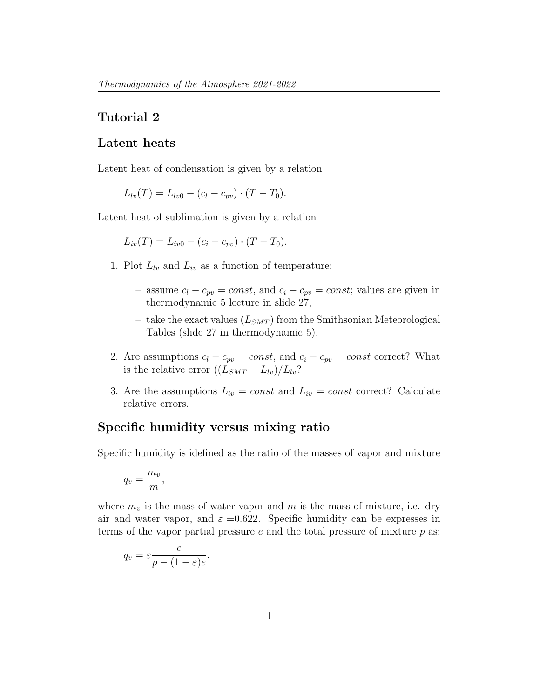## Tutorial 2

## Latent heats

Latent heat of condensation is given by a relation

 $L_{lv}(T) = L_{lv0} - (c_l - c_{pv}) \cdot (T - T_0).$ 

Latent heat of sublimation is given by a relation

$$
L_{iv}(T) = L_{iv0} - (c_i - c_{pv}) \cdot (T - T_0).
$$

- 1. Plot  $L_{lv}$  and  $L_{iv}$  as a function of temperature:
	- assume  $c_l c_{pv} = const$ , and  $c_i c_{pv} = const$ ; values are given in thermodynamic<sub>-5</sub> lecture in slide 27,
	- take the exact values  $(L_{SMT})$  from the Smithsonian Meteorological Tables (slide 27 in thermodynamic 5).
- 2. Are assumptions  $c_l c_{pv} = const$ , and  $c_i c_{pv} = const$  correct? What is the relative error  $((L_{SMT} - L_{lv})/L_{lv})$ ?
- 3. Are the assumptions  $L_{lv} = const$  and  $L_{iv} = const$  correct? Calculate relative errors.

## Specific humidity versus mixing ratio

Specific humidity is idefined as the ratio of the masses of vapor and mixture

$$
q_v = \frac{m_v}{m},
$$

where  $m_v$  is the mass of water vapor and m is the mass of mixture, i.e. dry air and water vapor, and  $\varepsilon = 0.622$ . Specific humidity can be expresses in terms of the vapor partial pressure  $e$  and the total pressure of mixture  $p$  as:

$$
q_v = \varepsilon \frac{e}{p - (1 - \varepsilon)e}.
$$